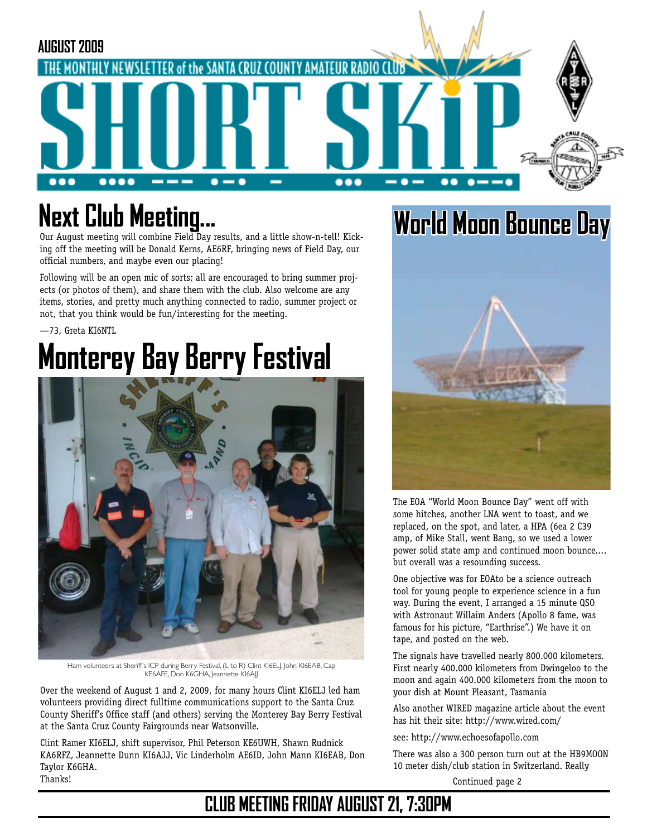

# **Next Club Meeting...**

Our August meeting will combine Field Day results, and a little show-n-tell! Kicking off the meeting will be Donald Kerns, AE6RF, bringing news of Field Day, our official numbers, and maybe even our placing!

Following will be an open mic of sorts; all are encouraged to bring summer projects (or photos of them), and share them with the club. Also welcome are any items, stories, and pretty much anything connected to radio, summer project or not, that you think would be fun/interesting for the meeting.

—73, Greta KI6NTL

# **Monterey Bay Berry Festival**



Ham volunteers at Sheriff's ICP during Berry Festival, (L to R) Clint KI6ELJ, John KI6EAB, Cap KE6AFE, Don K6GHA, Jeannette KI6AJJ

Over the weekend of August 1 and 2, 2009, for many hours Clint KI6ELJ led ham volunteers providing direct fulltime communications support to the Santa Cruz County Sheriff's Office staff (and others) serving the Monterey Bay Berry Festival at the Santa Cruz County Fairgrounds near Watsonville.

Clint Ramer KI6ELJ, shift supervisor, Phil Peterson KE6UWH, Shawn Rudnick KA6RFZ, Jeannette Dunn KI6AJJ, Vic Linderholm AE6ID, John Mann KI6EAB, Don Taylor K6GHA. Thanks!

## **World Moon Bounce Day**



The EOA "World Moon Bounce Day" went off with some hitches, another LNA went to toast, and we replaced, on the spot, and later, a HPA (6ea 2 C39 amp, of Mike Stall, went Bang, so we used a lower power solid state amp and continued moon bounce.... but overall was a resounding success.

One objective was for EOAto be a science outreach tool for young people to experience science in a fun way. During the event, I arranged a 15 minute QSO with Astronaut Willaim Anders (Apollo 8 fame, was famous for his picture, "Earthrise".) We have it on tape, and posted on the web.

The signals have travelled nearly 800.000 kilometers. First nearly 400.000 kilometers from Dwingeloo to the moon and again 400.000 kilometers from the moon to your dish at Mount Pleasant, Tasmania

Also another WIRED magazine article about the event has hit their site: http://www.wired.com/

see: http://www.echoesofapollo.com

There was also a 300 person turn out at the HB9MOON 10 meter dish/club station in Switzerland. Really

Continued page 2

### **CLUB MEETING FRIDAY AUGUST 21, 7:30PM**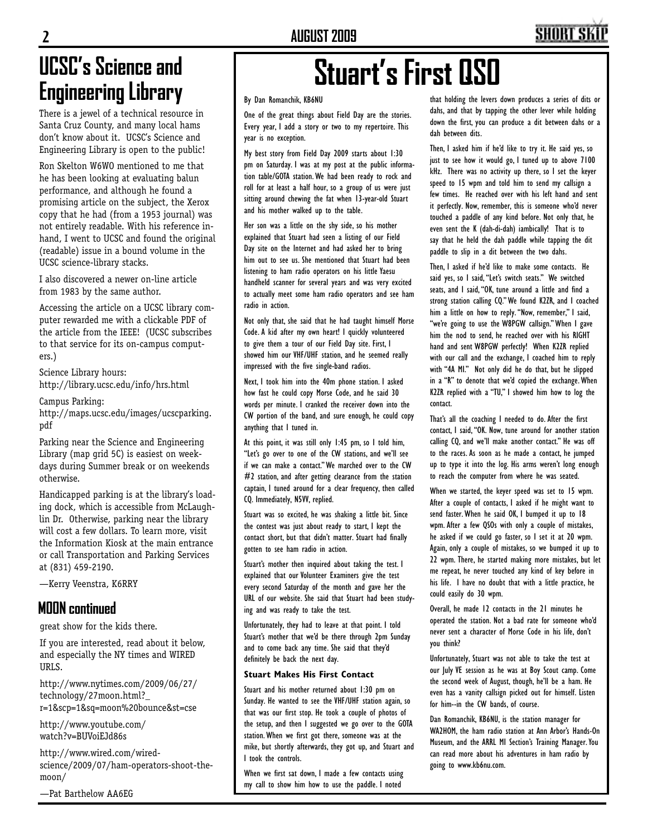## **UCSC's Science and Engineering Library**

There is a jewel of a technical resource in Santa Cruz County, and many local hams don't know about it. UCSC's Science and Engineering Library is open to the public!

Ron Skelton W6WO mentioned to me that he has been looking at evaluating balun performance, and although he found a promising article on the subject, the Xerox copy that he had (from a 1953 journal) was not entirely readable. With his reference inhand, I went to UCSC and found the original (readable) issue in a bound volume in the UCSC science-library stacks.

I also discovered a newer on-line article from 1983 by the same author.

Accessing the article on a UCSC library computer rewarded me with a clickable PDF of the article from the IEEE! (UCSC subscribes to that service for its on-campus computers.)

Science Library hours: http://library.ucsc.edu/info/hrs.html

Campus Parking: http://maps.ucsc.edu/images/ucscparking. pdf

Parking near the Science and Engineering Library (map grid 5C) is easiest on weekdays during Summer break or on weekends otherwise.

Handicapped parking is at the library's loading dock, which is accessible from McLaughlin Dr. Otherwise, parking near the library will cost a few dollars. To learn more, visit the Information Kiosk at the main entrance or call Transportation and Parking Services at (831) 459-2190.

—Kerry Veenstra, K6RRY

#### **MOON continued**

great show for the kids there.

If you are interested, read about it below, and especially the NY times and WIRED URLS.

http://www.nytimes.com/2009/06/27/ technology/27moon.html?\_ r=1&scp=1&sq=moon%20bounce&st=cse

http://www.youtube.com/ watch?v=BUVoiEJd86s

http://www.wired.com/wiredscience/2009/07/ham-operators-shoot-themoon/

—Pat Barthelow AA6EG

# **Stuart's First QSO**

By Dan Romanchik, KB6NU

One of the great things about Field Day are the stories. Every year, I add a story or two to my repertoire. This year is no exception.

My best story from Field Day 2009 starts about 1:30 pm on Saturday. I was at my post at the public information table/GOTA station. We had been ready to rock and roll for at least a half hour, so a group of us were just sitting around chewing the fat when 13-year-old Stuart and his mother walked up to the table.

Her son was a little on the shy side, so his mother explained that Stuart had seen a listing of our Field Day site on the Internet and had asked her to bring him out to see us. She mentioned that Stuart had been listening to ham radio operators on his little Yaesu handheld scanner for several years and was very excited to actually meet some ham radio operators and see ham radio in action.

Not only that, she said that he had taught himself Morse Code. A kid after my own heart! I quickly volunteered to give them a tour of our Field Day site. First, I showed him our VHF/UHF station, and he seemed really impressed with the five single-band radios.

Next, I took him into the 40m phone station. I asked how fast he could copy Morse Code, and he said 30 words per minute. I cranked the receiver down into the CW portion of the band, and sure enough, he could copy anything that I tuned in.

At this point, it was still only 1:45 pm, so I told him, "Let's go over to one of the CW stations, and we'll see if we can make a contact." We marched over to the CW #2 station, and after getting clearance from the station captain, I tuned around for a clear frequency, then called CQ. Immediately, N5VV, replied.

Stuart was so excited, he was shaking a little bit. Since the contest was just about ready to start, I kept the contact short, but that didn't matter. Stuart had finally gotten to see ham radio in action.

Stuart's mother then inquired about taking the test. I explained that our Volunteer Examiners give the test every second Saturday of the month and gave her the URL of our website. She said that Stuart had been studying and was ready to take the test.

Unfortunately, they had to leave at that point. I told Stuart's mother that we'd be there through 2pm Sunday and to come back any time. She said that they'd definitely be back the next day.

#### **Stuart Makes His First Contact**

Stuart and his mother returned about 1:30 pm on Sunday. He wanted to see the VHF/UHF station again, so that was our first stop. He took a couple of photos of the setup, and then I suggested we go over to the GOTA station. When we first got there, someone was at the mike, but shortly afterwards, they got up, and Stuart and I took the controls.

When we first sat down, I made a few contacts using my call to show him how to use the paddle. I noted

that holding the levers down produces a series of dits or dahs, and that by tapping the other lever while holding down the first, you can produce a dit between dahs or a dah between dits.

Then, I asked him if he'd like to try it. He said yes, so just to see how it would go, I tuned up to above 7100 kHz. There was no activity up there, so I set the keyer speed to 15 wpm and told him to send my callsign a few times. He reached over with his left hand and sent it perfectly. Now, remember, this is someone who'd never touched a paddle of any kind before. Not only that, he even sent the K (dah-di-dah) iambically! That is to say that he held the dah paddle while tapping the dit paddle to slip in a dit between the two dahs.

Then, I asked if he'd like to make some contacts. He said yes, so I said, "Let's switch seats." We switched seats, and I said, "OK, tune around a little and find a strong station calling CQ." We found K2ZR, and I coached him a little on how to reply. "Now, remember," I said, "we're going to use the W8PGW callsign." When I gave him the nod to send, he reached over with his RIGHT hand and sent W8PGW perfectly! When K2ZR replied with our call and the exchange, I coached him to reply with "4A MI." Not only did he do that, but he slipped in a "R" to denote that we'd copied the exchange. When K2ZR replied with a "TU," I showed him how to log the contact.

That's all the coaching I needed to do. After the first contact, I said, "OK. Now, tune around for another station calling CQ, and we'll make another contact." He was off to the races. As soon as he made a contact, he jumped up to type it into the log. His arms weren't long enough to reach the computer from where he was seated.

When we started, the keyer speed was set to 15 wpm. After a couple of contacts, I asked if he might want to send faster. When he said OK, I bumped it up to 18 wpm. After a few QSOs with only a couple of mistakes, he asked if we could go faster, so I set it at 20 wpm. Again, only a couple of mistakes, so we bumped it up to 22 wpm. There, he started making more mistakes, but let me repeat, he never touched any kind of key before in his life. I have no doubt that with a little practice, he could easily do 30 wpm.

Overall, he made 12 contacts in the 21 minutes he operated the station. Not a bad rate for someone who'd never sent a character of Morse Code in his life, don't you think?

Unfortunately, Stuart was not able to take the test at our July VE session as he was at Boy Scout camp. Come the second week of August, though, he'll be a ham. He even has a vanity callsign picked out for himself. Listen for him--in the CW bands, of course.

Dan Romanchik, KB6NU, is the station manager for WA2HOM, the ham radio station at Ann Arbor's Hands-On Museum, and the ARRL MI Section's Training Manager. You can read more about his adventures in ham radio by going to www.kb6nu.com.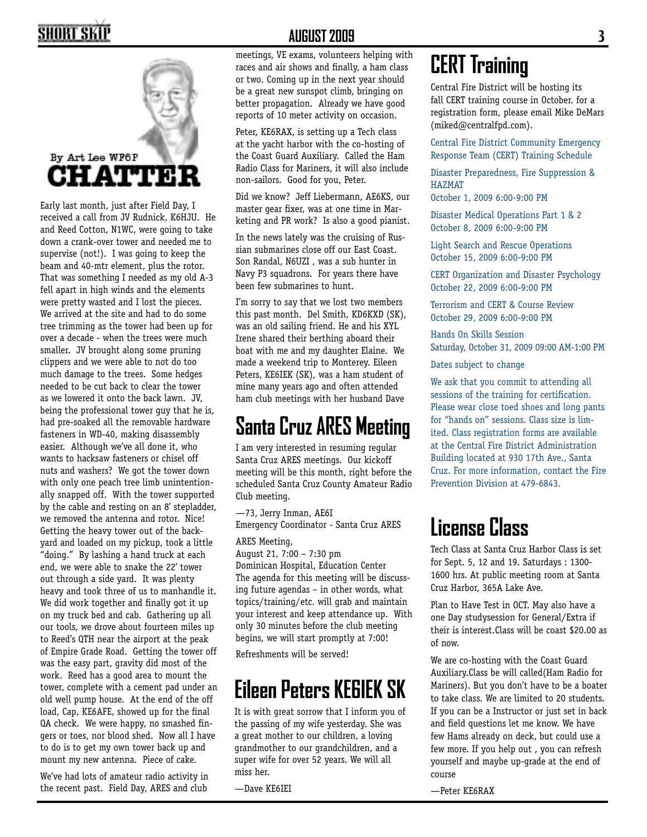## SHORT SKI



Early last month, just after Field Day, I received a call from JV Rudnick, K6HJU. He and Reed Cotton, N1WC, were going to take down a crank-over tower and needed me to supervise (not!). I was going to keep the beam and 40-mtr element, plus the rotor. That was something I needed as my old A-3 fell apart in high winds and the elements were pretty wasted and I lost the pieces. We arrived at the site and had to do some tree trimming as the tower had been up for over a decade - when the trees were much smaller. JV brought along some pruning clippers and we were able to not do too much damage to the trees. Some hedges needed to be cut back to clear the tower as we lowered it onto the back lawn. JV, being the professional tower guy that he is, had pre-soaked all the removable hardware fasteners in WD-40, making disassembly easier. Although we've all done it, who wants to hacksaw fasteners or chisel off nuts and washers? We got the tower down with only one peach tree limb unintentionally snapped off. With the tower supported by the cable and resting on an 8' stepladder, we removed the antenna and rotor. Nice! Getting the heavy tower out of the backyard and loaded on my pickup, took a little "doing." By lashing a hand truck at each end, we were able to snake the 22' tower out through a side yard. It was plenty heavy and took three of us to manhandle it. We did work together and finally got it up on my truck bed and cab. Gathering up all our tools, we drove about fourteen miles up to Reed's QTH near the airport at the peak of Empire Grade Road. Getting the tower off was the easy part, gravity did most of the work. Reed has a good area to mount the tower, complete with a cement pad under an old well pump house. At the end of the off load, Cap, KE6AFE, showed up for the final QA check. We were happy, no smashed fingers or toes, nor blood shed. Now all I have to do is to get my own tower back up and mount my new antenna. Piece of cake.

We've had lots of amateur radio activity in the recent past. Field Day, ARES and club

#### **AUGUST 2009 3**

meetings, VE exams, volunteers helping with races and air shows and finally, a ham class or two. Coming up in the next year should be a great new sunspot climb, bringing on better propagation. Already we have good reports of 10 meter activity on occasion.

Peter, KE6RAX, is setting up a Tech class at the yacht harbor with the co-hosting of the Coast Guard Auxiliary. Called the Ham Radio Class for Mariners, it will also include non-sailors. Good for you, Peter.

Did we know? Jeff Liebermann, AE6KS, our master gear fixer, was at one time in Marketing and PR work? Is also a good pianist.

In the news lately was the cruising of Russian submarines close off our East Coast. Son Randal, N6UZI , was a sub hunter in Navy P3 squadrons. For years there have been few submarines to hunt.

I'm sorry to say that we lost two members this past month. Del Smith, KD6KXD (SK), was an old sailing friend. He and his XYL Irene shared their berthing aboard their boat with me and my daughter Elaine. We made a weekend trip to Monterey. Eileen Peters, KE6IEK (SK), was a ham student of mine many years ago and often attended ham club meetings with her husband Dave

### **Santa Cruz ARES Meeting**

I am very interested in resuming regular Santa Cruz ARES meetings. Our kickoff meeting will be this month, right before the scheduled Santa Cruz County Amateur Radio Club meeting.

—73, Jerry Inman, AE6I Emergency Coordinator - Santa Cruz ARES

ARES Meeting, August 21, 7:00 – 7:30 pm Dominican Hospital, Education Center The agenda for this meeting will be discussing future agendas – in other words, what topics/training/etc. will grab and maintain your interest and keep attendance up. With only 30 minutes before the club meeting begins, we will start promptly at 7:00!

Refreshments will be served!

## **Eileen Peters KE6IEK SK**

It is with great sorrow that I inform you of the passing of my wife yesterday. She was a great mother to our children, a loving grandmother to our grandchildren, and a super wife for over 52 years. We will all miss her.

—Dave KE6IEI

## **CERT Training**

Central Fire District will be hosting its fall CERT training course in October. for a registration form, please email Mike DeMars (miked@centralfpd.com).

Central Fire District Community Emergency Response Team (CERT) Training Schedule

Disaster Preparedness, Fire Suppression & HAZMAT

October 1, 2009 6:00-9:00 PM

Disaster Medical Operations Part 1 & 2 October 8, 2009 6:00-9:00 PM

Light Search and Rescue Operations October 15, 2009 6:00-9:00 PM

CERT Organization and Disaster Psychology October 22, 2009 6:00-9:00 PM

Terrorism and CERT & Course Review October 29, 2009 6:00-9:00 PM

Hands On Skills Session Saturday, October 31, 2009 09:00 AM-1:00 PM

Dates subject to change

We ask that you commit to attending all sessions of the training for certification. Please wear close toed shoes and long pants for "hands on" sessions. Class size is limited. Class registration forms are available at the Central Fire District Administration Building located at 930 17th Ave., Santa Cruz. For more information, contact the Fire Prevention Division at 479-6843.

### **License Class**

Tech Class at Santa Cruz Harbor Class is set for Sept. 5, 12 and 19. Saturdays : 1300- 1600 hrs. At public meeting room at Santa Cruz Harbor, 365A Lake Ave.

Plan to Have Test in OCT. May also have a one Day studysession for General/Extra if their is interest.Class will be coast \$20.00 as of now.

We are co-hosting with the Coast Guard Auxiliary.Class be will called(Ham Radio for Mariners). But you don't have to be a boater to take class. We are limited to 20 students. If you can be a Instructor or just set in back and field questions let me know. We have few Hams already on deck, but could use a few more. If you help out , you can refresh yourself and maybe up-grade at the end of course

—Peter KE6RAX